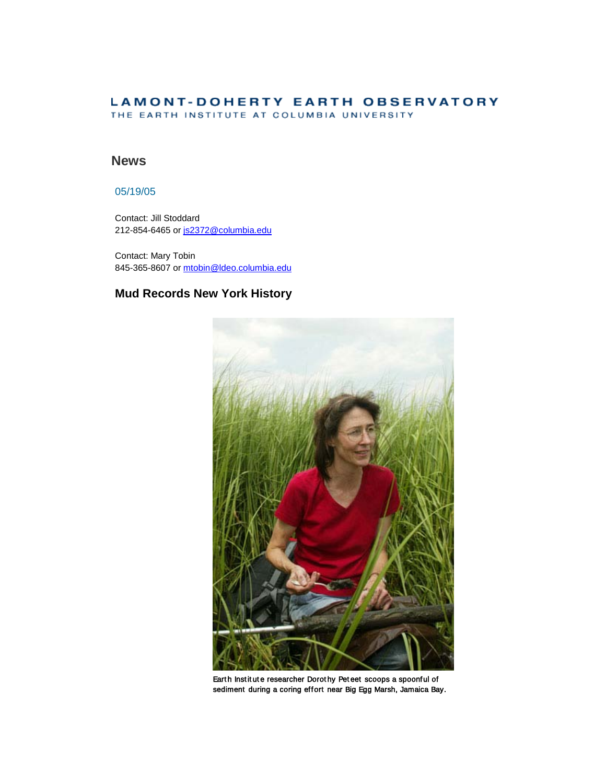### **LAMONT-DOHERTY EARTH OBSERVATORY** THE EARTH INSTITUTE AT COLUMBIA UNIVERSITY

## **News**

## 05/19/05

Contact: Jill Stoddard 212-854-6465 or [js2372@columbia.edu](mailto:js2372@columbia.edu)

Contact: Mary Tobin 845-365-8607 or [mtobin@ldeo.columbia.edu](mailto:mtobin@ldeo.columbia.edu)

# **Mud Records New York History**



Earth Institute researcher Dorothy Peteet scoops a spoonful of sediment during a coring effort near Big Egg Marsh, Jamaica Bay.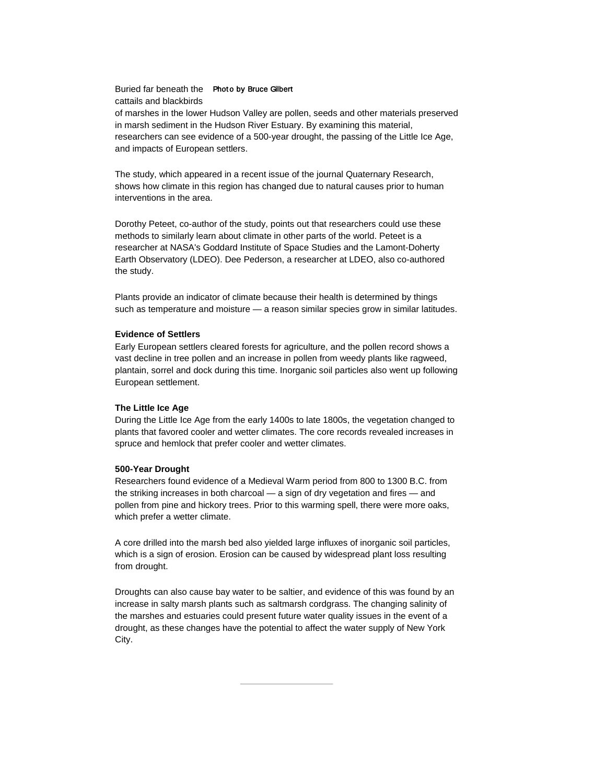#### Buried far beneath the Photo by Bruce Gilbert cattails and blackbirds

of marshes in the lower Hudson Valley are pollen, seeds and other materials preserved in marsh sediment in the Hudson River Estuary. By examining this material, researchers can see evidence of a 500-year drought, the passing of the Little Ice Age, and impacts of European settlers.

The study, which appeared in a recent issue of the journal Quaternary Research, shows how climate in this region has changed due to natural causes prior to human interventions in the area.

Dorothy Peteet, co-author of the study, points out that researchers could use these methods to similarly learn about climate in other parts of the world. Peteet is a researcher at NASA's Goddard Institute of Space Studies and the Lamont-Doherty Earth Observatory (LDEO). Dee Pederson, a researcher at LDEO, also co-authored the study.

Plants provide an indicator of climate because their health is determined by things such as temperature and moisture - a reason similar species grow in similar latitudes.

#### **Evidence of Settlers**

Early European settlers cleared forests for agriculture, and the pollen record shows a vast decline in tree pollen and an increase in pollen from weedy plants like ragweed, plantain, sorrel and dock during this time. Inorganic soil particles also went up following European settlement.

#### **The Little Ice Age**

During the Little Ice Age from the early 1400s to late 1800s, the vegetation changed to plants that favored cooler and wetter climates. The core records revealed increases in spruce and hemlock that prefer cooler and wetter climates.

#### **500-Year Drought**

Researchers found evidence of a Medieval Warm period from 800 to 1300 B.C. from the striking increases in both charcoal — a sign of dry vegetation and fires — and pollen from pine and hickory trees. Prior to this warming spell, there were more oaks, which prefer a wetter climate.

A core drilled into the marsh bed also yielded large influxes of inorganic soil particles, which is a sign of erosion. Erosion can be caused by widespread plant loss resulting from drought.

Droughts can also cause bay water to be saltier, and evidence of this was found by an increase in salty marsh plants such as saltmarsh cordgrass. The changing salinity of the marshes and estuaries could present future water quality issues in the event of a drought, as these changes have the potential to affect the water supply of New York City.